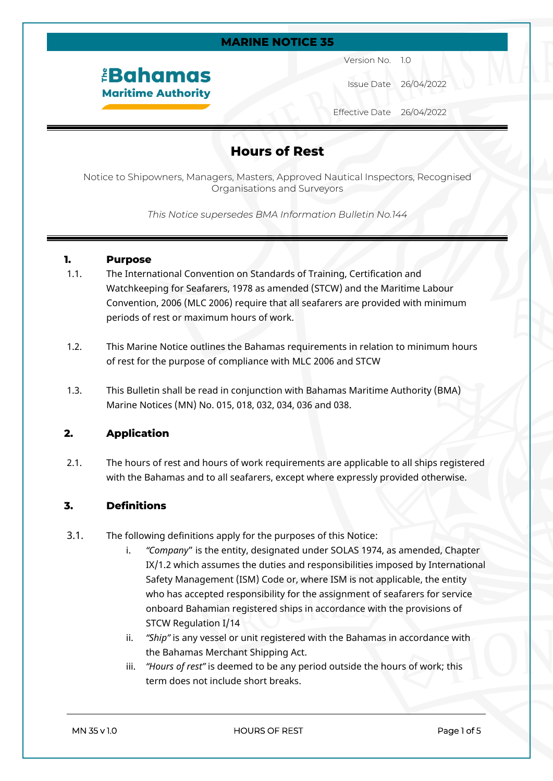#### **MARINE NOTICE 35**

# *<u><b>EBahamas</u>* **Maritime Authority**

Version No. 1.0

Issue Date 26/04/2022

Effective Date 26/04/2022

### **Hours of Rest**

Notice to Shipowners, Managers, Masters, Approved Nautical Inspectors, Recognised Organisations and Surveyors

*This Notice supersedes BMA Information Bulletin No.144*

#### **1. Purpose**

- 1.1. The International Convention on Standards of Training, Certification and Watchkeeping for Seafarers, 1978 as amended (STCW) and the Maritime Labour Convention, 2006 (MLC 2006) require that all seafarers are provided with minimum periods of rest or maximum hours of work.
- 1.2. This Marine Notice outlines the Bahamas requirements in relation to minimum hours of rest for the purpose of compliance with MLC 2006 and STCW
- 1.3. This Bulletin shall be read in conjunction with Bahamas Maritime Authority (BMA) Marine Notices (MN) No. 015, 018, 032, 034, 036 and 038.

#### **2. Application**

2.1. The hours of rest and hours of work requirements are applicable to all ships registered with the Bahamas and to all seafarers, except where expressly provided otherwise.

### **3. Definitions**

- 3.1. The following definitions apply for the purposes of this Notice:
	- i. *"Company*" is the entity, designated under SOLAS 1974, as amended, Chapter IX/1.2 which assumes the duties and responsibilities imposed by International Safety Management (ISM) Code or, where ISM is not applicable, the entity who has accepted responsibility for the assignment of seafarers for service onboard Bahamian registered ships in accordance with the provisions of STCW Regulation I/14
	- ii. *"Ship"* is any vessel or unit registered with the Bahamas in accordance with the Bahamas Merchant Shipping Act.
	- iii. *"Hours of rest"* is deemed to be any period outside the hours of work; this term does not include short breaks.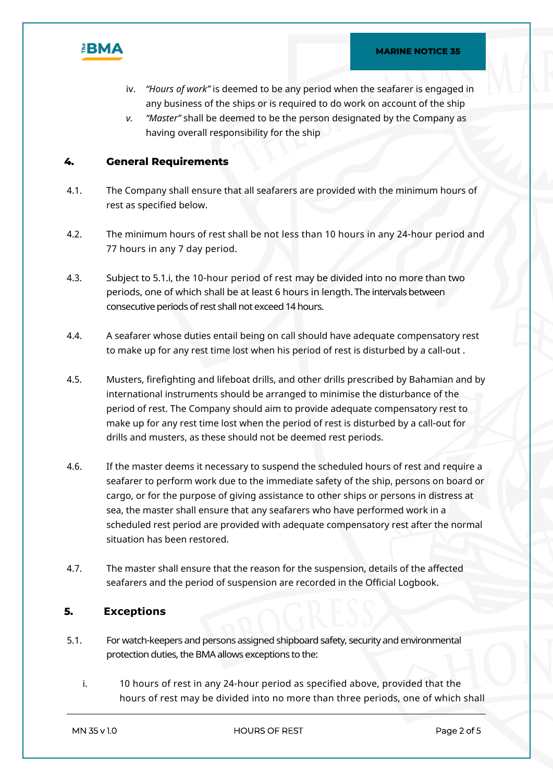

- iv. *"Hours of work"* is deemed to be any period when the seafarer is engaged in any business of the ships or is required to do work on account of the ship
- *v. "Master"* shall be deemed to be the person designated by the Company as having overall responsibility for the ship

#### **4. General Requirements**

- 4.1. The Company shall ensure that all seafarers are provided with the minimum hours of rest as specified below.
- 4.2. The minimum hours of rest shall be not less than 10 hours in any 24-hour period and 77 hours in any 7 day period.
- 4.3. Subject to 5.1.i, the 10-hour period of rest may be divided into no more than two periods, one of which shall be at least 6 hours in length. The intervals between consecutive periods of rest shall not exceed 14 hours.
- 4.4. A seafarer whose duties entail being on call should have adequate compensatory rest to make up for any rest time lost when his period of rest is disturbed by a call-out .
- 4.5. Musters, firefighting and lifeboat drills, and other drills prescribed by Bahamian and by international instruments should be arranged to minimise the disturbance of the period of rest. The Company should aim to provide adequate compensatory rest to make up for any rest time lost when the period of rest is disturbed by a call-out for drills and musters, as these should not be deemed rest periods.
- 4.6. If the master deems it necessary to suspend the scheduled hours of rest and require a seafarer to perform work due to the immediate safety of the ship, persons on board or cargo, or for the purpose of giving assistance to other ships or persons in distress at sea, the master shall ensure that any seafarers who have performed work in a scheduled rest period are provided with adequate compensatory rest after the normal situation has been restored.
- 4.7. The master shall ensure that the reason for the suspension, details of the affected seafarers and the period of suspension are recorded in the Official Logbook.

#### **5. Exceptions**

- 5.1. Forwatch-keepers and persons assigned shipboard safety, security and environmental protection duties, the BMA allows exceptions to the:
	- i. 10 hours of rest in any 24-hour period as specified above, provided that the hours of rest may be divided into no more than three periods, one of which shall

**MN 35 v 1.0 HOURS OF REST Page 2 of 5**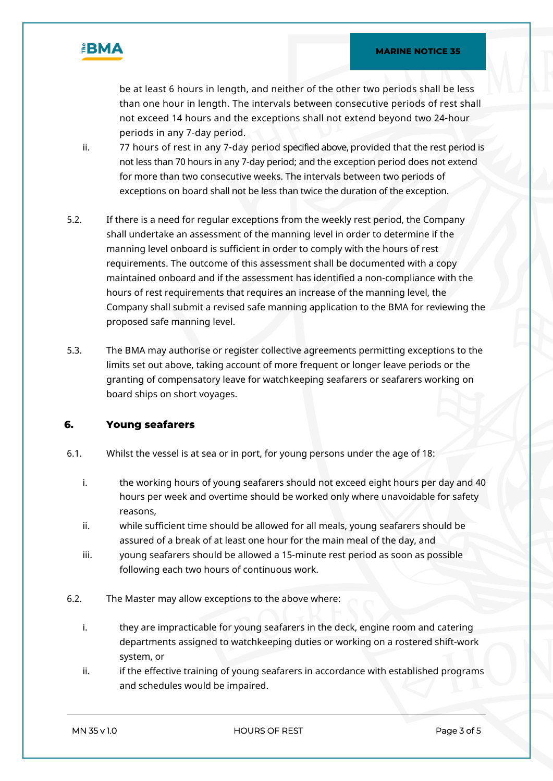

be at least 6 hours in length, and neither of the other two periods shall be less than one hour in length. The intervals between consecutive periods of rest shall not exceed 14 hours and the exceptions shall not extend beyond two 24-hour periods in any 7-day period.

- ii. 77 hours of rest in any 7-day period specified above, provided that the rest period is not less than 70 hours in any 7-day period; and the exception period does not extend for more than two consecutive weeks. The intervals between two periods of exceptions on board shall not be less than twice the duration of the exception.
- 5.2. If there is a need for regular exceptions from the weekly rest period, the Company shall undertake an assessment of the manning level in order to determine if the manning level onboard is sufficient in order to comply with the hours of rest requirements. The outcome of this assessment shall be documented with a copy maintained onboard and if the assessment has identified a non-compliance with the hours of rest requirements that requires an increase of the manning level, the Company shall submit a revised safe manning application to the BMA for reviewing the proposed safe manning level.
- 5.3. The BMA may authorise or register collective agreements permitting exceptions to the limits set out above, taking account of more frequent or longer leave periods or the granting of compensatory leave for watchkeeping seafarers or seafarers working on board ships on short voyages.

#### **6. Young seafarers**

- 6.1. Whilst the vessel is at sea or in port, for young persons under the age of 18:
	- i. the working hours of young seafarers should not exceed eight hours per day and 40 hours per week and overtime should be worked only where unavoidable for safety reasons,
	- ii. while sufficient time should be allowed for all meals, young seafarers should be assured of a break of at least one hour for the main meal of the day, and
	- iii. young seafarers should be allowed a 15-minute rest period as soon as possible following each two hours of continuous work.
- 6.2. The Master may allow exceptions to the above where:
	- i. they are impracticable for young seafarers in the deck, engine room and catering departments assigned to watchkeeping duties or working on a rostered shift-work system, or
	- ii. if the effective training of young seafarers in accordance with established programs and schedules would be impaired.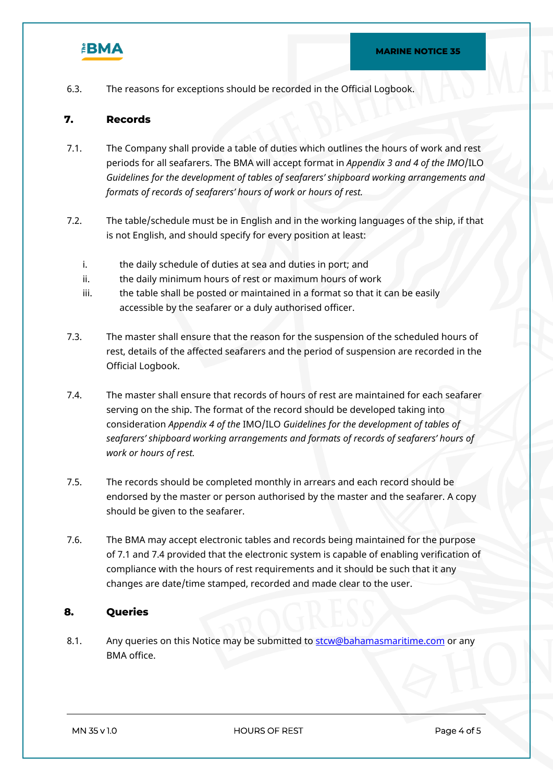

6.3. The reasons for exceptions should be recorded in the Official Logbook.

#### **7. Records**

- 7.1. The Company shall provide a table of duties which outlines the hours of work and rest periods for all seafarers. The BMA will accept format in *Appendix 3 and 4 of the IMO*/ILO *Guidelines for the development of tables of seafarers' shipboard working arrangements and formats of records of seafarers' hours of work or hours of rest.*
- 7.2. The table/schedule must be in English and in the working languages of the ship, if that is not English, and should specify for every position at least:
	- i. the daily schedule of duties at sea and duties in port; and
	- ii. the daily minimum hours of rest or maximum hours of work
	- iii. the table shall be posted or maintained in a format so that it can be easily accessible by the seafarer or a duly authorised officer.
- 7.3. The master shall ensure that the reason for the suspension of the scheduled hours of rest, details of the affected seafarers and the period of suspension are recorded in the Official Logbook.
- 7.4. The master shall ensure that records of hours of rest are maintained for each seafarer serving on the ship. The format of the record should be developed taking into consideration *Appendix 4 of the* IMO/ILO *Guidelines for the development of tables of seafarers' shipboard working arrangements and formats of records of seafarers' hours of work or hours of rest.*
- 7.5. The records should be completed monthly in arrears and each record should be endorsed by the master or person authorised by the master and the seafarer. A copy should be given to the seafarer.
- 7.6. The BMA may accept electronic tables and records being maintained for the purpose of 7.1 and 7.4 provided that the electronic system is capable of enabling verification of compliance with the hours of rest requirements and it should be such that it any changes are date/time stamped, recorded and made clear to the user.

#### **8. Queries**

8.1. Any queries on this Notice may be submitted to stor Cobahamas maritime.com or any BMA office.